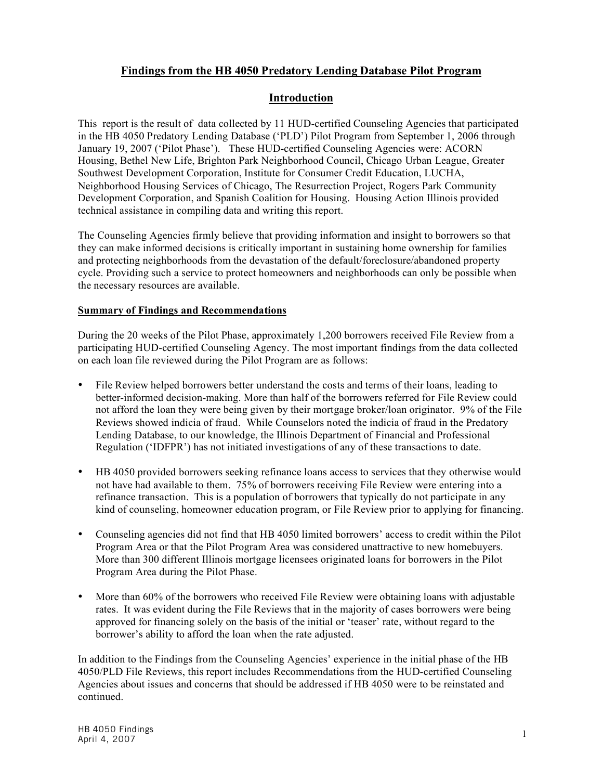# **Findings from the HB 4050 Predatory Lending Database Pilot Program**

## **Introduction**

This report is the result of data collected by 11 HUD-certified Counseling Agencies that participated in the HB 4050 Predatory Lending Database ('PLD') Pilot Program from September 1, 2006 through January 19, 2007 ('Pilot Phase'). These HUD-certified Counseling Agencies were: ACORN Housing, Bethel New Life, Brighton Park Neighborhood Council, Chicago Urban League, Greater Southwest Development Corporation, Institute for Consumer Credit Education, LUCHA, Neighborhood Housing Services of Chicago, The Resurrection Project, Rogers Park Community Development Corporation, and Spanish Coalition for Housing. Housing Action Illinois provided technical assistance in compiling data and writing this report.

The Counseling Agencies firmly believe that providing information and insight to borrowers so that they can make informed decisions is critically important in sustaining home ownership for families and protecting neighborhoods from the devastation of the default/foreclosure/abandoned property cycle. Providing such a service to protect homeowners and neighborhoods can only be possible when the necessary resources are available.

#### **Summary of Findings and Recommendations**

During the 20 weeks of the Pilot Phase, approximately 1,200 borrowers received File Review from a participating HUD-certified Counseling Agency. The most important findings from the data collected on each loan file reviewed during the Pilot Program are as follows:

- File Review helped borrowers better understand the costs and terms of their loans, leading to better-informed decision-making. More than half of the borrowers referred for File Review could not afford the loan they were being given by their mortgage broker/loan originator. 9% of the File Reviews showed indicia of fraud. While Counselors noted the indicia of fraud in the Predatory Lending Database, to our knowledge, the Illinois Department of Financial and Professional Regulation ('IDFPR') has not initiated investigations of any of these transactions to date.
- HB 4050 provided borrowers seeking refinance loans access to services that they otherwise would not have had available to them. 75% of borrowers receiving File Review were entering into a refinance transaction. This is a population of borrowers that typically do not participate in any kind of counseling, homeowner education program, or File Review prior to applying for financing.
- Counseling agencies did not find that HB 4050 limited borrowers' access to credit within the Pilot Program Area or that the Pilot Program Area was considered unattractive to new homebuyers. More than 300 different Illinois mortgage licensees originated loans for borrowers in the Pilot Program Area during the Pilot Phase.
- More than 60% of the borrowers who received File Review were obtaining loans with adjustable rates. It was evident during the File Reviews that in the majority of cases borrowers were being approved for financing solely on the basis of the initial or 'teaser' rate, without regard to the borrower's ability to afford the loan when the rate adjusted.

In addition to the Findings from the Counseling Agencies' experience in the initial phase of the HB 4050/PLD File Reviews, this report includes Recommendations from the HUD-certified Counseling Agencies about issues and concerns that should be addressed if HB 4050 were to be reinstated and continued.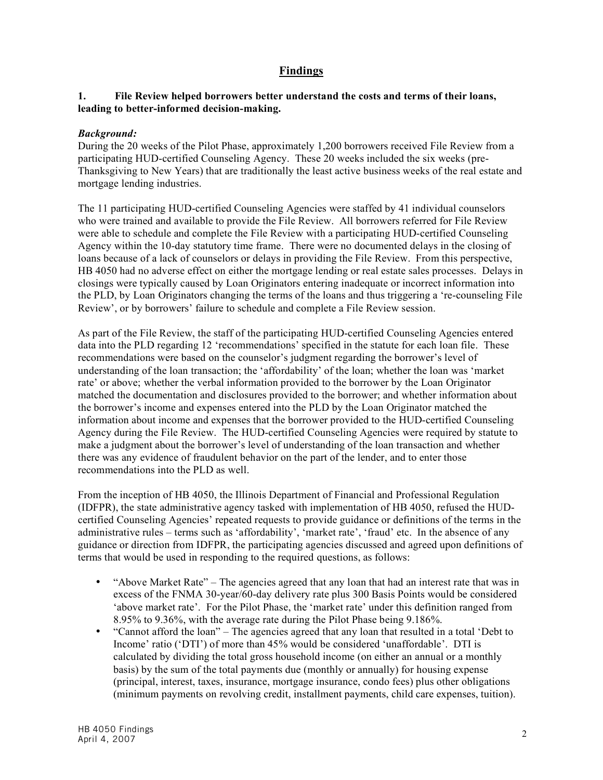# **Findings**

### **1. File Review helped borrowers better understand the costs and terms of their loans, leading to better-informed decision-making.**

### *Background:*

During the 20 weeks of the Pilot Phase, approximately 1,200 borrowers received File Review from a participating HUD-certified Counseling Agency. These 20 weeks included the six weeks (pre-Thanksgiving to New Years) that are traditionally the least active business weeks of the real estate and mortgage lending industries.

The 11 participating HUD-certified Counseling Agencies were staffed by 41 individual counselors who were trained and available to provide the File Review. All borrowers referred for File Review were able to schedule and complete the File Review with a participating HUD-certified Counseling Agency within the 10-day statutory time frame. There were no documented delays in the closing of loans because of a lack of counselors or delays in providing the File Review. From this perspective, HB 4050 had no adverse effect on either the mortgage lending or real estate sales processes. Delays in closings were typically caused by Loan Originators entering inadequate or incorrect information into the PLD, by Loan Originators changing the terms of the loans and thus triggering a 're-counseling File Review', or by borrowers' failure to schedule and complete a File Review session.

As part of the File Review, the staff of the participating HUD-certified Counseling Agencies entered data into the PLD regarding 12 'recommendations' specified in the statute for each loan file. These recommendations were based on the counselor's judgment regarding the borrower's level of understanding of the loan transaction; the 'affordability' of the loan; whether the loan was 'market rate' or above; whether the verbal information provided to the borrower by the Loan Originator matched the documentation and disclosures provided to the borrower; and whether information about the borrower's income and expenses entered into the PLD by the Loan Originator matched the information about income and expenses that the borrower provided to the HUD-certified Counseling Agency during the File Review. The HUD-certified Counseling Agencies were required by statute to make a judgment about the borrower's level of understanding of the loan transaction and whether there was any evidence of fraudulent behavior on the part of the lender, and to enter those recommendations into the PLD as well.

From the inception of HB 4050, the Illinois Department of Financial and Professional Regulation (IDFPR), the state administrative agency tasked with implementation of HB 4050, refused the HUDcertified Counseling Agencies' repeated requests to provide guidance or definitions of the terms in the administrative rules – terms such as 'affordability', 'market rate', 'fraud' etc. In the absence of any guidance or direction from IDFPR, the participating agencies discussed and agreed upon definitions of terms that would be used in responding to the required questions, as follows:

- "Above Market Rate" The agencies agreed that any loan that had an interest rate that was in excess of the FNMA 30-year/60-day delivery rate plus 300 Basis Points would be considered 'above market rate'. For the Pilot Phase, the 'market rate' under this definition ranged from 8.95% to 9.36%, with the average rate during the Pilot Phase being 9.186%.
- "Cannot afford the loan" The agencies agreed that any loan that resulted in a total 'Debt to Income' ratio ('DTI') of more than 45% would be considered 'unaffordable'. DTI is calculated by dividing the total gross household income (on either an annual or a monthly basis) by the sum of the total payments due (monthly or annually) for housing expense (principal, interest, taxes, insurance, mortgage insurance, condo fees) plus other obligations (minimum payments on revolving credit, installment payments, child care expenses, tuition).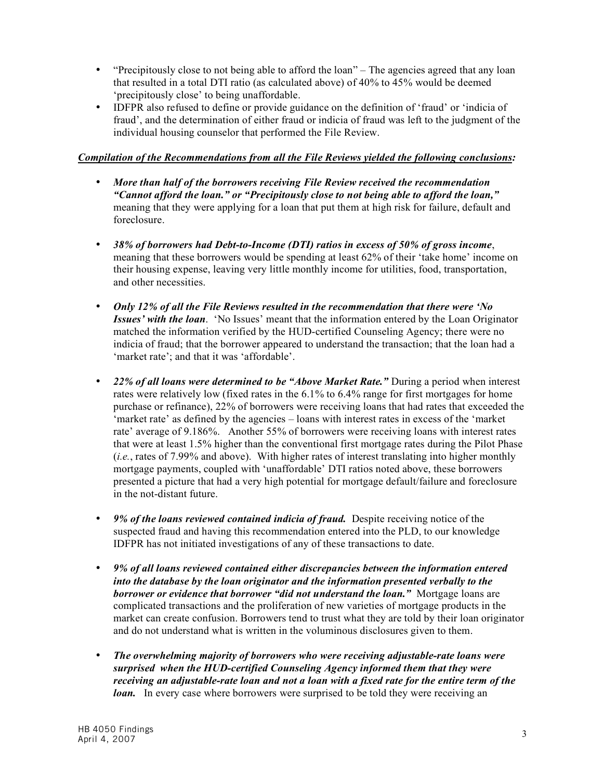- "Precipitously close to not being able to afford the loan" The agencies agreed that any loan that resulted in a total DTI ratio (as calculated above) of 40% to 45% would be deemed 'precipitously close' to being unaffordable.
- IDFPR also refused to define or provide guidance on the definition of 'fraud' or 'indicia of fraud', and the determination of either fraud or indicia of fraud was left to the judgment of the individual housing counselor that performed the File Review.

## *Compilation of the Recommendations from all the File Reviews yielded the following conclusions:*

- *More than half of the borrowers receiving File Review received the recommendation "Cannot afford the loan." or "Precipitously close to not being able to afford the loan,"* meaning that they were applying for a loan that put them at high risk for failure, default and foreclosure.
- *38% of borrowers had Debt-to-Income (DTI) ratios in excess of 50% of gross income*, meaning that these borrowers would be spending at least 62% of their 'take home' income on their housing expense, leaving very little monthly income for utilities, food, transportation, and other necessities.
- *Only 12% of all the File Reviews resulted in the recommendation that there were 'No Issues' with the loan*. 'No Issues' meant that the information entered by the Loan Originator matched the information verified by the HUD-certified Counseling Agency; there were no indicia of fraud; that the borrower appeared to understand the transaction; that the loan had a 'market rate'; and that it was 'affordable'.
- *22% of all loans were determined to be "Above Market Rate."* During a period when interest rates were relatively low (fixed rates in the 6.1% to 6.4% range for first mortgages for home purchase or refinance), 22% of borrowers were receiving loans that had rates that exceeded the 'market rate' as defined by the agencies – loans with interest rates in excess of the 'market rate' average of 9.186%. Another 55% of borrowers were receiving loans with interest rates that were at least 1.5% higher than the conventional first mortgage rates during the Pilot Phase (*i.e.*, rates of 7.99% and above). With higher rates of interest translating into higher monthly mortgage payments, coupled with 'unaffordable' DTI ratios noted above, these borrowers presented a picture that had a very high potential for mortgage default/failure and foreclosure in the not-distant future.
- *9% of the loans reviewed contained indicia of fraud.* Despite receiving notice of the suspected fraud and having this recommendation entered into the PLD, to our knowledge IDFPR has not initiated investigations of any of these transactions to date.
- *9% of all loans reviewed contained either discrepancies between the information entered into the database by the loan originator and the information presented verbally to the borrower or evidence that borrower "did not understand the loan."* Mortgage loans are complicated transactions and the proliferation of new varieties of mortgage products in the market can create confusion. Borrowers tend to trust what they are told by their loan originator and do not understand what is written in the voluminous disclosures given to them.
- *The overwhelming majority of borrowers who were receiving adjustable-rate loans were surprised when the HUD-certified Counseling Agency informed them that they were receiving an adjustable-rate loan and not a loan with a fixed rate for the entire term of the loan.* In every case where borrowers were surprised to be told they were receiving an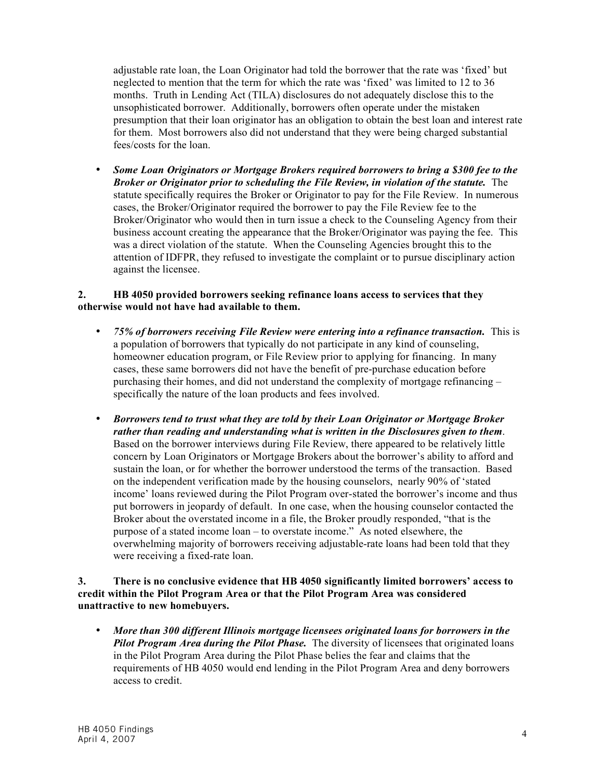adjustable rate loan, the Loan Originator had told the borrower that the rate was 'fixed' but neglected to mention that the term for which the rate was 'fixed' was limited to 12 to 36 months. Truth in Lending Act (TILA) disclosures do not adequately disclose this to the unsophisticated borrower. Additionally, borrowers often operate under the mistaken presumption that their loan originator has an obligation to obtain the best loan and interest rate for them. Most borrowers also did not understand that they were being charged substantial fees/costs for the loan.

• *Some Loan Originators or Mortgage Brokers required borrowers to bring a \$300 fee to the Broker or Originator prior to scheduling the File Review, in violation of the statute.* The statute specifically requires the Broker or Originator to pay for the File Review. In numerous cases, the Broker/Originator required the borrower to pay the File Review fee to the Broker/Originator who would then in turn issue a check to the Counseling Agency from their business account creating the appearance that the Broker/Originator was paying the fee. This was a direct violation of the statute. When the Counseling Agencies brought this to the attention of IDFPR, they refused to investigate the complaint or to pursue disciplinary action against the licensee.

#### **2. HB 4050 provided borrowers seeking refinance loans access to services that they otherwise would not have had available to them.**

- *75% of borrowers receiving File Review were entering into a refinance transaction.* This is a population of borrowers that typically do not participate in any kind of counseling, homeowner education program, or File Review prior to applying for financing. In many cases, these same borrowers did not have the benefit of pre-purchase education before purchasing their homes, and did not understand the complexity of mortgage refinancing – specifically the nature of the loan products and fees involved.
- *Borrowers tend to trust what they are told by their Loan Originator or Mortgage Broker rather than reading and understanding what is written in the Disclosures given to them*. Based on the borrower interviews during File Review, there appeared to be relatively little concern by Loan Originators or Mortgage Brokers about the borrower's ability to afford and sustain the loan, or for whether the borrower understood the terms of the transaction. Based on the independent verification made by the housing counselors, nearly 90% of 'stated income' loans reviewed during the Pilot Program over-stated the borrower's income and thus put borrowers in jeopardy of default. In one case, when the housing counselor contacted the Broker about the overstated income in a file, the Broker proudly responded, "that is the purpose of a stated income loan – to overstate income." As noted elsewhere, the overwhelming majority of borrowers receiving adjustable-rate loans had been told that they were receiving a fixed-rate loan.

### **3. There is no conclusive evidence that HB 4050 significantly limited borrowers' access to credit within the Pilot Program Area or that the Pilot Program Area was considered unattractive to new homebuyers.**

• *More than 300 different Illinois mortgage licensees originated loans for borrowers in the Pilot Program Area during the Pilot Phase.* The diversity of licensees that originated loans in the Pilot Program Area during the Pilot Phase belies the fear and claims that the requirements of HB 4050 would end lending in the Pilot Program Area and deny borrowers access to credit.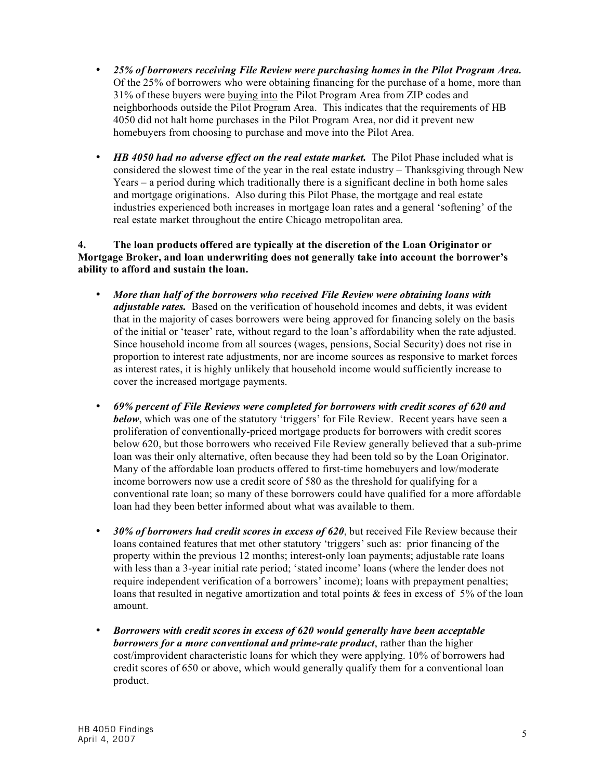- *25% of borrowers receiving File Review were purchasing homes in the Pilot Program Area.* Of the 25% of borrowers who were obtaining financing for the purchase of a home, more than 31% of these buyers were buying into the Pilot Program Area from ZIP codes and neighborhoods outside the Pilot Program Area. This indicates that the requirements of HB 4050 did not halt home purchases in the Pilot Program Area, nor did it prevent new homebuyers from choosing to purchase and move into the Pilot Area.
- *HB 4050 had no adverse effect on the real estate market.* The Pilot Phase included what is considered the slowest time of the year in the real estate industry – Thanksgiving through New Years – a period during which traditionally there is a significant decline in both home sales and mortgage originations. Also during this Pilot Phase, the mortgage and real estate industries experienced both increases in mortgage loan rates and a general 'softening' of the real estate market throughout the entire Chicago metropolitan area.

### **4. The loan products offered are typically at the discretion of the Loan Originator or Mortgage Broker, and loan underwriting does not generally take into account the borrower's ability to afford and sustain the loan.**

- *More than half of the borrowers who received File Review were obtaining loans with adjustable rates.* Based on the verification of household incomes and debts, it was evident that in the majority of cases borrowers were being approved for financing solely on the basis of the initial or 'teaser' rate, without regard to the loan's affordability when the rate adjusted. Since household income from all sources (wages, pensions, Social Security) does not rise in proportion to interest rate adjustments, nor are income sources as responsive to market forces as interest rates, it is highly unlikely that household income would sufficiently increase to cover the increased mortgage payments.
- *69% percent of File Reviews were completed for borrowers with credit scores of 620 and below*, which was one of the statutory 'triggers' for File Review. Recent years have seen a proliferation of conventionally-priced mortgage products for borrowers with credit scores below 620, but those borrowers who received File Review generally believed that a sub-prime loan was their only alternative, often because they had been told so by the Loan Originator. Many of the affordable loan products offered to first-time homebuyers and low/moderate income borrowers now use a credit score of 580 as the threshold for qualifying for a conventional rate loan; so many of these borrowers could have qualified for a more affordable loan had they been better informed about what was available to them.
- *30% of borrowers had credit scores in excess of 620*, but received File Review because their loans contained features that met other statutory 'triggers' such as: prior financing of the property within the previous 12 months; interest-only loan payments; adjustable rate loans with less than a 3-year initial rate period; 'stated income' loans (where the lender does not require independent verification of a borrowers' income); loans with prepayment penalties; loans that resulted in negative amortization and total points  $\&$  fees in excess of 5% of the loan amount.
- *Borrowers with credit scores in excess of 620 would generally have been acceptable borrowers for a more conventional and prime-rate product*, rather than the higher cost/improvident characteristic loans for which they were applying. 10% of borrowers had credit scores of 650 or above, which would generally qualify them for a conventional loan product.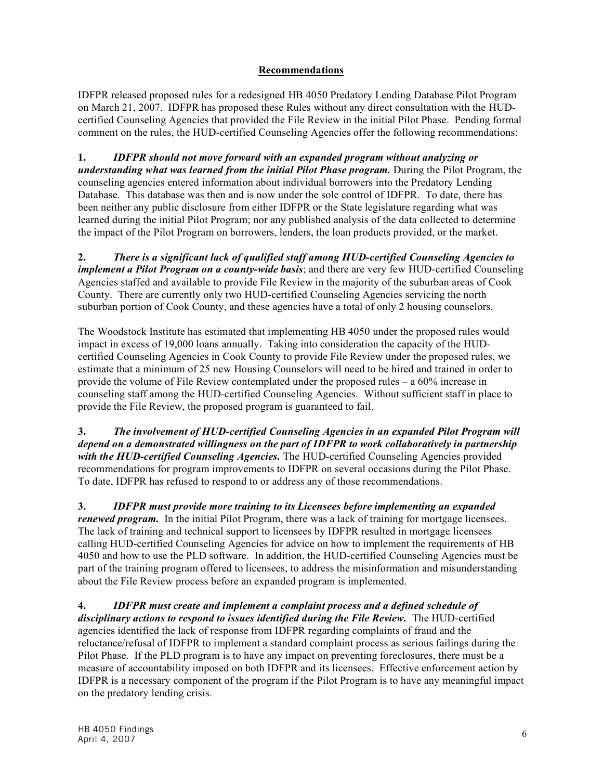## **Recommendations**

IDFPR released proposed rules for a redesigned HB 4050 Predatory Lending Database Pilot Program on March 21, 2007. IDFPR has proposed these Rules without any direct consultation with the HUDcertified Counseling Agencies that provided the File Review in the initial Pilot Phase. Pending formal comment on the rules, the HUD-certified Counseling Agencies offer the following recommendations:

**1.** *IDFPR should not move forward with an expanded program without analyzing or understanding what was learned from the initial Pilot Phase program.* During the Pilot Program, the counseling agencies entered information about individual borrowers into the Predatory Lending Database. This database was then and is now under the sole control of IDFPR. To date, there has been neither any public disclosure from either IDFPR or the State legislature regarding what was learned during the initial Pilot Program; nor any published analysis of the data collected to determine the impact of the Pilot Program on borrowers, lenders, the loan products provided, or the market.

**2.** *There is a significant lack of qualified staff among HUD-certified Counseling Agencies to implement a Pilot Program on a county-wide basis*; and there are very few HUD-certified Counseling Agencies staffed and available to provide File Review in the majority of the suburban areas of Cook County. There are currently only two HUD-certified Counseling Agencies servicing the north suburban portion of Cook County, and these agencies have a total of only 2 housing counselors.

The Woodstock Institute has estimated that implementing HB 4050 under the proposed rules would impact in excess of 19,000 loans annually. Taking into consideration the capacity of the HUDcertified Counseling Agencies in Cook County to provide File Review under the proposed rules, we estimate that a minimum of 25 new Housing Counselors will need to be hired and trained in order to provide the volume of File Review contemplated under the proposed rules – a 60% increase in counseling staff among the HUD-certified Counseling Agencies. Without sufficient staff in place to provide the File Review, the proposed program is guaranteed to fail.

**3.** *The involvement of HUD-certified Counseling Agencies in an expanded Pilot Program will depend on a demonstrated willingness on the part of IDFPR to work collaboratively in partnership with the HUD-certified Counseling Agencies.* The HUD-certified Counseling Agencies provided recommendations for program improvements to IDFPR on several occasions during the Pilot Phase. To date, IDFPR has refused to respond to or address any of those recommendations.

**3.** *IDFPR must provide more training to its Licensees before implementing an expanded renewed program.* In the initial Pilot Program, there was a lack of training for mortgage licensees. The lack of training and technical support to licensees by IDFPR resulted in mortgage licensees calling HUD-certified Counseling Agencies for advice on how to implement the requirements of HB 4050 and how to use the PLD software. In addition, the HUD-certified Counseling Agencies must be part of the training program offered to licensees, to address the misinformation and misunderstanding about the File Review process before an expanded program is implemented.

**4.** *IDFPR must create and implement a complaint process and a defined schedule of disciplinary actions to respond to issues identified during the File Review.* The HUD-certified agencies identified the lack of response from IDFPR regarding complaints of fraud and the reluctance/refusal of IDFPR to implement a standard complaint process as serious failings during the Pilot Phase. If the PLD program is to have any impact on preventing foreclosures, there must be a measure of accountability imposed on both IDFPR and its licensees. Effective enforcement action by IDFPR is a necessary component of the program if the Pilot Program is to have any meaningful impact on the predatory lending crisis.